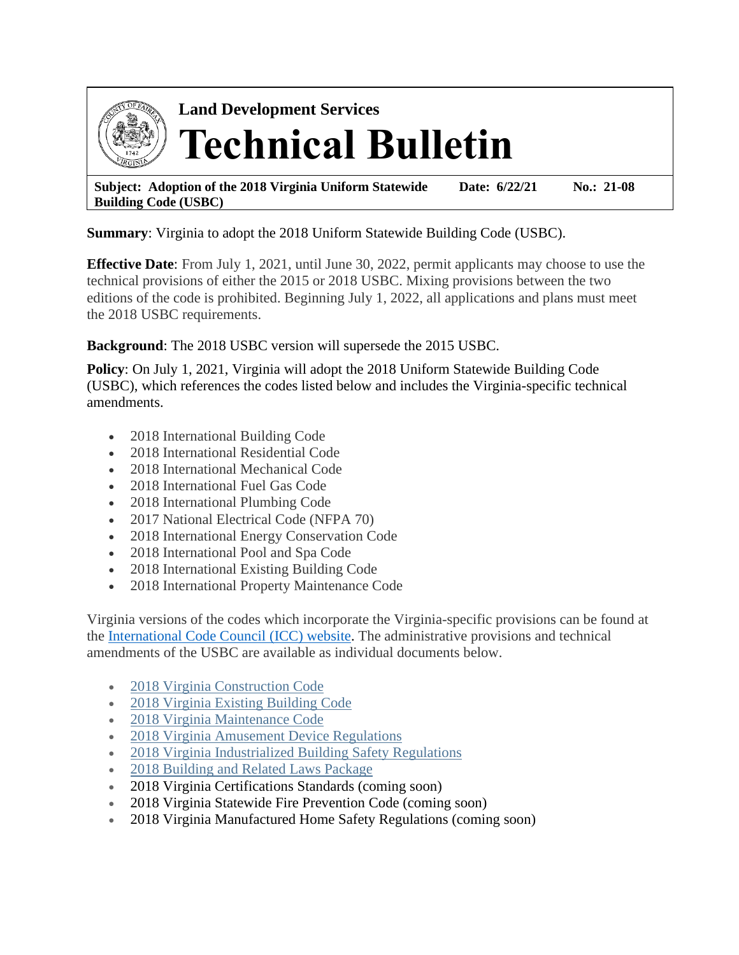

**Land Development Services Technical Bulletin**

**Subject: Adoption of the 2018 Virginia Uniform Statewide Building Code (USBC) Date: 6/22/21 No.: 21-08**

**Summary**: Virginia to adopt the 2018 Uniform Statewide Building Code (USBC).

**Effective Date**: From July 1, 2021, until June 30, 2022, permit applicants may choose to use the technical provisions of either the 2015 or 2018 USBC. Mixing provisions between the two editions of the code is prohibited. Beginning July 1, 2022, all applications and plans must meet the 2018 USBC requirements.

**Background**: The 2018 USBC version will supersede the 2015 USBC.

**Policy**: On July 1, 2021, Virginia will adopt the 2018 Uniform Statewide Building Code (USBC), which references the codes listed below and includes the Virginia-specific technical amendments.

- 2018 International Building Code
- 2018 International Residential Code
- 2018 International Mechanical Code
- 2018 International Fuel Gas Code
- 2018 International Plumbing Code
- 2017 National Electrical Code (NFPA 70)
- 2018 International Energy Conservation Code
- 2018 International Pool and Spa Code
- 2018 International Existing Building Code
- 2018 International Property Maintenance Code

Virginia versions of the codes which incorporate the Virginia-specific provisions can be found at the [International Code Council](https://codes.iccsafe.org/codes/virginia) (ICC) website. The administrative provisions and technical amendments of the USBC are available as individual documents below.

- [2018 Virginia Construction Code](https://www.dhcd.virginia.gov/sites/default/files/Docx/building-codes-regulations/archive-codes/2018/2018-virginia-construction-code.pdf)
- [2018 Virginia Existing Building Code](https://www.dhcd.virginia.gov/sites/default/files/Docx/building-codes-regulations/archive-codes/2018/2018-virginia-existing-building-code.pdf)
- [2018 Virginia Maintenance Code](https://www.dhcd.virginia.gov/sites/default/files/Docx/building-codes-regulations/archive-codes/2018/2018-virginia-maintenance-code.pdf)
- [2018 Virginia Amusement Device Regulations](https://www.dhcd.virginia.gov/sites/default/files/Docx/building-codes-regulations/archive-codes/2018/2018-virginia-amusement-device-regulations.pdf)
- [2018 Virginia Industrialized Building Safety Regulations](https://www.dhcd.virginia.gov/sites/default/files/Docx/building-codes-regulations/archive-codes/2018/2018-va-industrialized-building-safety-regulations.pdf)
- [2018 Building and Related Laws Package](https://www.dhcd.virginia.gov/sites/default/files/Docx/building-codes-regulations/archive-codes/2018/2018-building-and-related-laws-package.pdf)
- 2018 Virginia Certifications Standards (coming soon)
- 2018 Virginia Statewide Fire Prevention Code (coming soon)
- 2018 Virginia Manufactured Home Safety Regulations (coming soon)